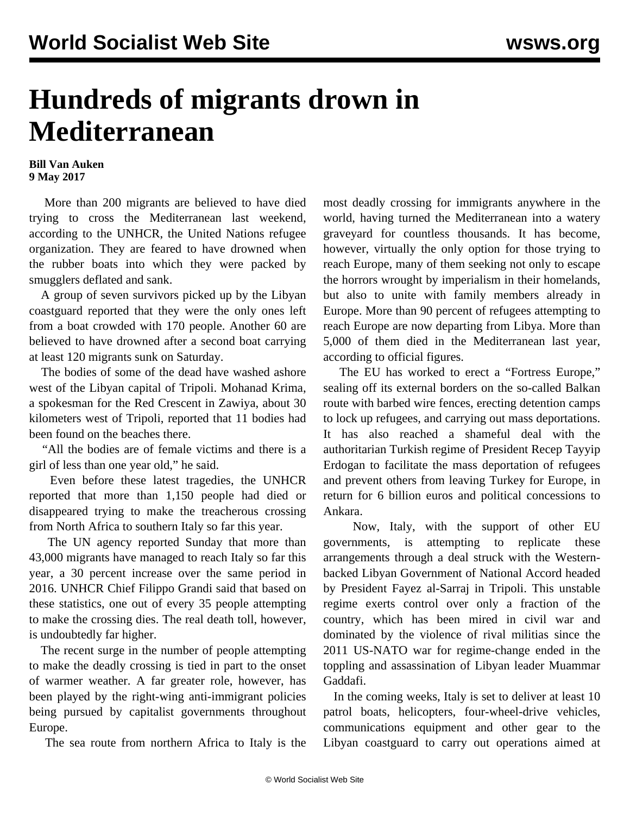## **Hundreds of migrants drown in Mediterranean**

## **Bill Van Auken 9 May 2017**

 More than 200 migrants are believed to have died trying to cross the Mediterranean last weekend, according to the UNHCR, the United Nations refugee organization. They are feared to have drowned when the rubber boats into which they were packed by smugglers deflated and sank.

 A group of seven survivors picked up by the Libyan coastguard reported that they were the only ones left from a boat crowded with 170 people. Another 60 are believed to have drowned after a second boat carrying at least 120 migrants sunk on Saturday.

 The bodies of some of the dead have washed ashore west of the Libyan capital of Tripoli. Mohanad Krima, a spokesman for the Red Crescent in Zawiya, about 30 kilometers west of Tripoli, reported that 11 bodies had been found on the beaches there.

 "All the bodies are of female victims and there is a girl of less than one year old," he said.

 Even before these latest tragedies, the UNHCR reported that more than 1,150 people had died or disappeared trying to make the treacherous crossing from North Africa to southern Italy so far this year.

 The UN agency reported Sunday that more than 43,000 migrants have managed to reach Italy so far this year, a 30 percent increase over the same period in 2016. UNHCR Chief Filippo Grandi said that based on these statistics, one out of every 35 people attempting to make the crossing dies. The real death toll, however, is undoubtedly far higher.

 The recent surge in the number of people attempting to make the deadly crossing is tied in part to the onset of warmer weather. A far greater role, however, has been played by the right-wing anti-immigrant policies being pursued by capitalist governments throughout Europe.

The sea route from northern Africa to Italy is the

most deadly crossing for immigrants anywhere in the world, having turned the Mediterranean into a watery graveyard for countless thousands. It has become, however, virtually the only option for those trying to reach Europe, many of them seeking not only to escape the horrors wrought by imperialism in their homelands, but also to unite with family members already in Europe. More than 90 percent of refugees attempting to reach Europe are now departing from Libya. More than 5,000 of them died in the Mediterranean last year, according to official figures.

 The EU has worked to erect a "Fortress Europe," sealing off its external borders on the so-called Balkan route with barbed wire fences, erecting detention camps to lock up refugees, and carrying out mass deportations. It has also reached a shameful deal with the authoritarian Turkish regime of President Recep Tayyip Erdogan to facilitate the mass deportation of refugees and prevent others from leaving Turkey for Europe, in return for 6 billion euros and political concessions to Ankara.

 Now, Italy, with the support of other EU governments, is attempting to replicate these arrangements through a deal struck with the Westernbacked Libyan Government of National Accord headed by President Fayez al-Sarraj in Tripoli. This unstable regime exerts control over only a fraction of the country, which has been mired in civil war and dominated by the violence of rival militias since the 2011 US-NATO war for regime-change ended in the toppling and assassination of Libyan leader Muammar Gaddafi.

 In the coming weeks, Italy is set to deliver at least 10 patrol boats, helicopters, four-wheel-drive vehicles, communications equipment and other gear to the Libyan coastguard to carry out operations aimed at